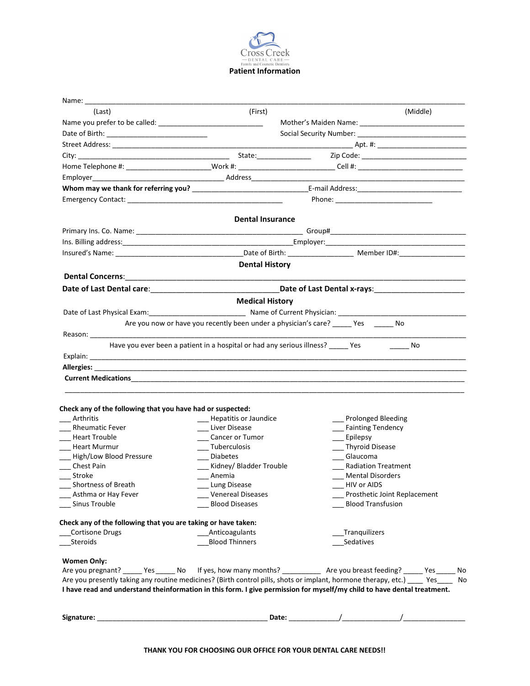

| Name:                                                                                                                 |                                                                                   |                                                                                                                                  |  |
|-----------------------------------------------------------------------------------------------------------------------|-----------------------------------------------------------------------------------|----------------------------------------------------------------------------------------------------------------------------------|--|
| (Last)                                                                                                                | (First)                                                                           | (Middle)                                                                                                                         |  |
|                                                                                                                       |                                                                                   |                                                                                                                                  |  |
|                                                                                                                       |                                                                                   |                                                                                                                                  |  |
|                                                                                                                       |                                                                                   |                                                                                                                                  |  |
|                                                                                                                       |                                                                                   |                                                                                                                                  |  |
|                                                                                                                       |                                                                                   | Home Telephone #: ________________________Work #: ___________________________Cell #: _________________________                   |  |
|                                                                                                                       |                                                                                   |                                                                                                                                  |  |
|                                                                                                                       |                                                                                   |                                                                                                                                  |  |
|                                                                                                                       |                                                                                   |                                                                                                                                  |  |
|                                                                                                                       |                                                                                   |                                                                                                                                  |  |
|                                                                                                                       | <b>Dental Insurance</b>                                                           |                                                                                                                                  |  |
|                                                                                                                       |                                                                                   |                                                                                                                                  |  |
|                                                                                                                       |                                                                                   |                                                                                                                                  |  |
|                                                                                                                       |                                                                                   |                                                                                                                                  |  |
|                                                                                                                       | <b>Dental History</b>                                                             |                                                                                                                                  |  |
|                                                                                                                       |                                                                                   |                                                                                                                                  |  |
|                                                                                                                       |                                                                                   |                                                                                                                                  |  |
| Date of Last Dental care: National Communication of Last Dental x-rays: National Assembly Date of Last Dental x-rays: |                                                                                   |                                                                                                                                  |  |
|                                                                                                                       | <b>Medical History</b>                                                            |                                                                                                                                  |  |
| Date of Last Physical Exam: 1990 Contract Decision 2014 Current Physician: 2014 Current Physician:                    |                                                                                   |                                                                                                                                  |  |
|                                                                                                                       | Are you now or have you recently been under a physician's care? _ Yes No          |                                                                                                                                  |  |
|                                                                                                                       |                                                                                   |                                                                                                                                  |  |
|                                                                                                                       | Have you ever been a patient in a hospital or had any serious illness? ______ Yes | <b>Example 19</b>                                                                                                                |  |
|                                                                                                                       |                                                                                   |                                                                                                                                  |  |
|                                                                                                                       |                                                                                   |                                                                                                                                  |  |
|                                                                                                                       |                                                                                   |                                                                                                                                  |  |
|                                                                                                                       |                                                                                   |                                                                                                                                  |  |
|                                                                                                                       |                                                                                   |                                                                                                                                  |  |
| Check any of the following that you have had or suspected:                                                            |                                                                                   |                                                                                                                                  |  |
| Arthritis                                                                                                             | - Hepatitis or Jaundice                                                           | Prolonged Bleeding                                                                                                               |  |
| <b>Rheumatic Fever</b>                                                                                                | __ Liver Disease                                                                  | ___ Fainting Tendency                                                                                                            |  |
| <b>Heart Trouble</b><br>$\overline{\phantom{a}}$                                                                      | __ Cancer or Tumor                                                                | ___ Epilepsy                                                                                                                     |  |
| __ Heart Murmur                                                                                                       | ___ Tuberculosis                                                                  | __ Thyroid Disease                                                                                                               |  |
| __ High/Low Blood Pressure                                                                                            | __ Diabetes                                                                       | __ Glaucoma                                                                                                                      |  |
| Chest Pain                                                                                                            | __ Kidney/ Bladder Trouble                                                        | <b>Radiation Treatment</b>                                                                                                       |  |
| Stroke                                                                                                                | Anemia                                                                            | <b>Mental Disorders</b><br>HIV or AIDS                                                                                           |  |
| Shortness of Breath                                                                                                   | _ Lung Disease                                                                    |                                                                                                                                  |  |
| Asthma or Hay Fever<br>Sinus Trouble                                                                                  | __ Venereal Diseases<br><b>Blood Diseases</b>                                     | Prosthetic Joint Replacement<br><b>Blood Transfusion</b>                                                                         |  |
|                                                                                                                       |                                                                                   |                                                                                                                                  |  |
| Check any of the following that you are taking or have taken:                                                         |                                                                                   |                                                                                                                                  |  |
| <b>Cortisone Drugs</b>                                                                                                | Anticoagulants                                                                    | _Tranquilizers                                                                                                                   |  |
| Steroids                                                                                                              | <b>Blood Thinners</b>                                                             | Sedatives                                                                                                                        |  |
|                                                                                                                       |                                                                                   |                                                                                                                                  |  |
| <b>Women Only:</b>                                                                                                    |                                                                                   |                                                                                                                                  |  |
|                                                                                                                       |                                                                                   | Are you pregnant? _______Yes _______ No If yes, how many months? _______________ Are you breast feeding? ______Yes _______ No    |  |
|                                                                                                                       |                                                                                   | Are you presently taking any routine medicines? (Birth control pills, shots or implant, hormone therapy, etc.) _____ Yes_____ No |  |
|                                                                                                                       |                                                                                   | I have read and understand theinformation in this form. I give permission for myself/my child to have dental treatment.          |  |
|                                                                                                                       |                                                                                   |                                                                                                                                  |  |
| Signature:                                                                                                            |                                                                                   |                                                                                                                                  |  |
|                                                                                                                       |                                                                                   |                                                                                                                                  |  |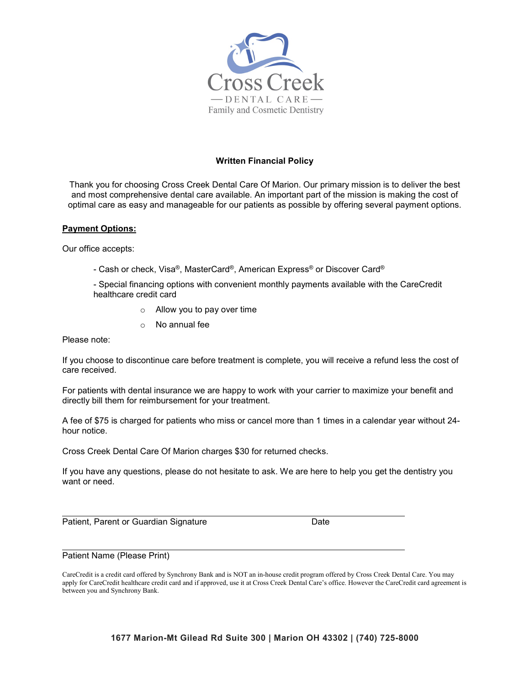

## **Written Financial Policy**

Thank you for choosing Cross Creek Dental Care Of Marion. Our primary mission is to deliver the best and most comprehensive dental care available. An important part of the mission is making the cost of optimal care as easy and manageable for our patients as possible by offering several payment options.

## **Payment Options:**

Our office accepts:

- Cash or check, Visa®, MasterCard®, American Express® or Discover Card®
- Special financing options with convenient monthly payments available with the CareCredit healthcare credit card
	- o Allow you to pay over time
	- o No annual fee

Please note:

If you choose to discontinue care before treatment is complete, you will receive a refund less the cost of care received.

For patients with dental insurance we are happy to work with your carrier to maximize your benefit and directly bill them for reimbursement for your treatment.

A fee of \$75 is charged for patients who miss or cancel more than 1 times in a calendar year without 24 hour notice.

Cross Creek Dental Care Of Marion charges \$30 for returned checks.

If you have any questions, please do not hesitate to ask. We are here to help you get the dentistry you want or need.

Patient, Parent or Guardian Signature Date

Patient Name (Please Print)

CareCredit is a credit card offered by Synchrony Bank and is NOT an in-house credit program offered by Cross Creek Dental Care. You may apply for CareCredit healthcare credit card and if approved, use it at Cross Creek Dental Care's office. However the CareCredit card agreement is between you and Synchrony Bank.